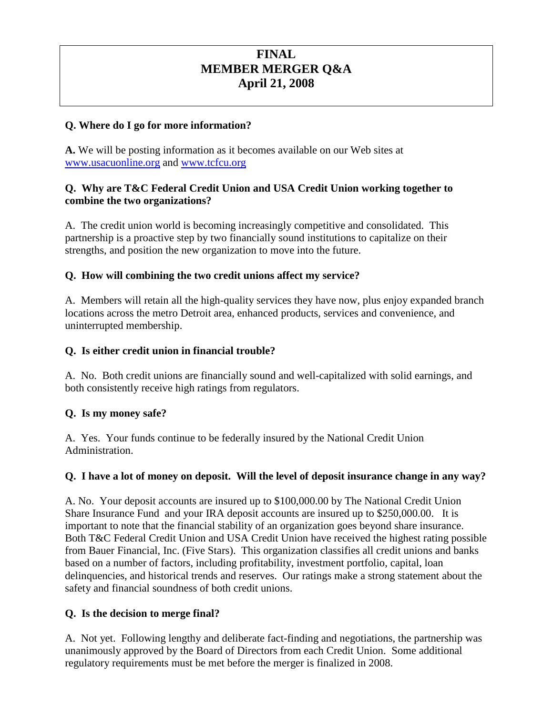# **FINAL MEMBER MERGER Q&A April 21, 2008**

#### **Q. Where do I go for more information?**

**A.** We will be posting information as it becomes available on our Web sites at www.usacuonline.org and www.tcfcu.org

#### **Q. Why are T&C Federal Credit Union and USA Credit Union working together to combine the two organizations?**

A. The credit union world is becoming increasingly competitive and consolidated. This partnership is a proactive step by two financially sound institutions to capitalize on their strengths, and position the new organization to move into the future.

### **Q. How will combining the two credit unions affect my service?**

A. Members will retain all the high-quality services they have now, plus enjoy expanded branch locations across the metro Detroit area, enhanced products, services and convenience, and uninterrupted membership.

#### **Q. Is either credit union in financial trouble?**

A. No. Both credit unions are financially sound and well-capitalized with solid earnings, and both consistently receive high ratings from regulators.

### **Q. Is my money safe?**

A. Yes. Your funds continue to be federally insured by the National Credit Union Administration.

#### **Q. I have a lot of money on deposit. Will the level of deposit insurance change in any way?**

A. No. Your deposit accounts are insured up to \$100,000.00 by The National Credit Union Share Insurance Fund and your IRA deposit accounts are insured up to \$250,000.00. It is important to note that the financial stability of an organization goes beyond share insurance. Both T&C Federal Credit Union and USA Credit Union have received the highest rating possible from Bauer Financial, Inc. (Five Stars). This organization classifies all credit unions and banks based on a number of factors, including profitability, investment portfolio, capital, loan delinquencies, and historical trends and reserves. Our ratings make a strong statement about the safety and financial soundness of both credit unions.

### **Q. Is the decision to merge final?**

A. Not yet. Following lengthy and deliberate fact-finding and negotiations, the partnership was unanimously approved by the Board of Directors from each Credit Union. Some additional regulatory requirements must be met before the merger is finalized in 2008.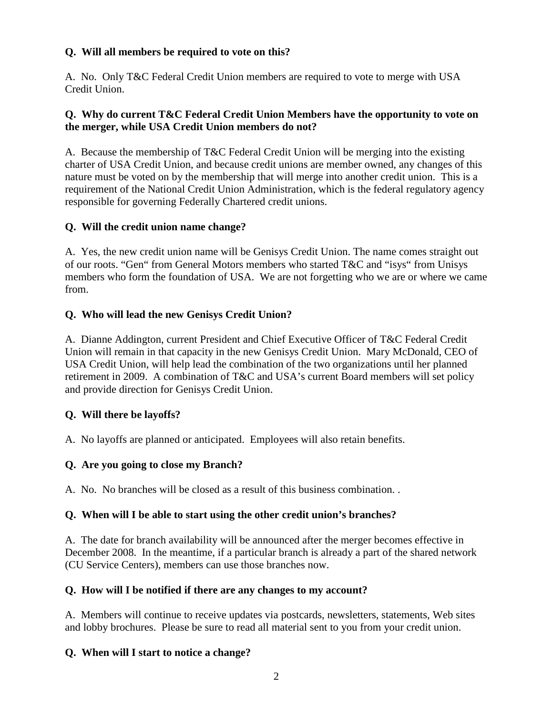### **Q. Will all members be required to vote on this?**

A. No. Only T&C Federal Credit Union members are required to vote to merge with USA Credit Union.

### **Q. Why do current T&C Federal Credit Union Members have the opportunity to vote on the merger, while USA Credit Union members do not?**

A. Because the membership of T&C Federal Credit Union will be merging into the existing charter of USA Credit Union, and because credit unions are member owned, any changes of this nature must be voted on by the membership that will merge into another credit union. This is a requirement of the National Credit Union Administration, which is the federal regulatory agency responsible for governing Federally Chartered credit unions.

### **Q. Will the credit union name change?**

A. Yes, the new credit union name will be Genisys Credit Union. The name comes straight out of our roots. "Gen" from General Motors members who started T&C and "isys" from Unisys members who form the foundation of USA. We are not forgetting who we are or where we came from.

### **Q. Who will lead the new Genisys Credit Union?**

A. Dianne Addington, current President and Chief Executive Officer of T&C Federal Credit Union will remain in that capacity in the new Genisys Credit Union. Mary McDonald, CEO of USA Credit Union, will help lead the combination of the two organizations until her planned retirement in 2009. A combination of T&C and USA's current Board members will set policy and provide direction for Genisys Credit Union.

## **Q. Will there be layoffs?**

A. No layoffs are planned or anticipated. Employees will also retain benefits.

### **Q. Are you going to close my Branch?**

A. No. No branches will be closed as a result of this business combination. .

### **Q. When will I be able to start using the other credit union's branches?**

A. The date for branch availability will be announced after the merger becomes effective in December 2008. In the meantime, if a particular branch is already a part of the shared network (CU Service Centers), members can use those branches now.

### **Q. How will I be notified if there are any changes to my account?**

A. Members will continue to receive updates via postcards, newsletters, statements, Web sites and lobby brochures. Please be sure to read all material sent to you from your credit union.

### **Q. When will I start to notice a change?**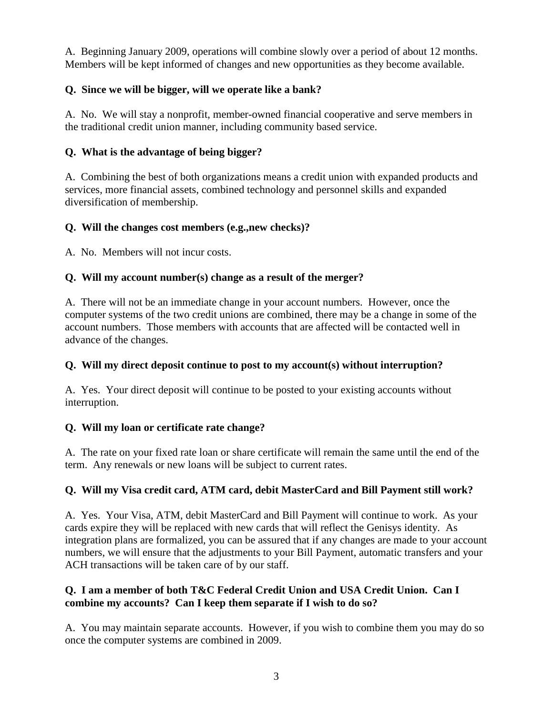A. Beginning January 2009, operations will combine slowly over a period of about 12 months. Members will be kept informed of changes and new opportunities as they become available.

## **Q. Since we will be bigger, will we operate like a bank?**

A. No. We will stay a nonprofit, member-owned financial cooperative and serve members in the traditional credit union manner, including community based service.

### **Q. What is the advantage of being bigger?**

A. Combining the best of both organizations means a credit union with expanded products and services, more financial assets, combined technology and personnel skills and expanded diversification of membership.

### **Q. Will the changes cost members (e.g.,new checks)?**

A. No. Members will not incur costs.

### **Q. Will my account number(s) change as a result of the merger?**

A. There will not be an immediate change in your account numbers. However, once the computer systems of the two credit unions are combined, there may be a change in some of the account numbers. Those members with accounts that are affected will be contacted well in advance of the changes.

## **Q. Will my direct deposit continue to post to my account(s) without interruption?**

A. Yes. Your direct deposit will continue to be posted to your existing accounts without interruption.

## **Q. Will my loan or certificate rate change?**

A. The rate on your fixed rate loan or share certificate will remain the same until the end of the term. Any renewals or new loans will be subject to current rates.

## **Q. Will my Visa credit card, ATM card, debit MasterCard and Bill Payment still work?**

A. Yes. Your Visa, ATM, debit MasterCard and Bill Payment will continue to work. As your cards expire they will be replaced with new cards that will reflect the Genisys identity. As integration plans are formalized, you can be assured that if any changes are made to your account numbers, we will ensure that the adjustments to your Bill Payment, automatic transfers and your ACH transactions will be taken care of by our staff.

### **Q. I am a member of both T&C Federal Credit Union and USA Credit Union. Can I combine my accounts? Can I keep them separate if I wish to do so?**

A. You may maintain separate accounts. However, if you wish to combine them you may do so once the computer systems are combined in 2009.